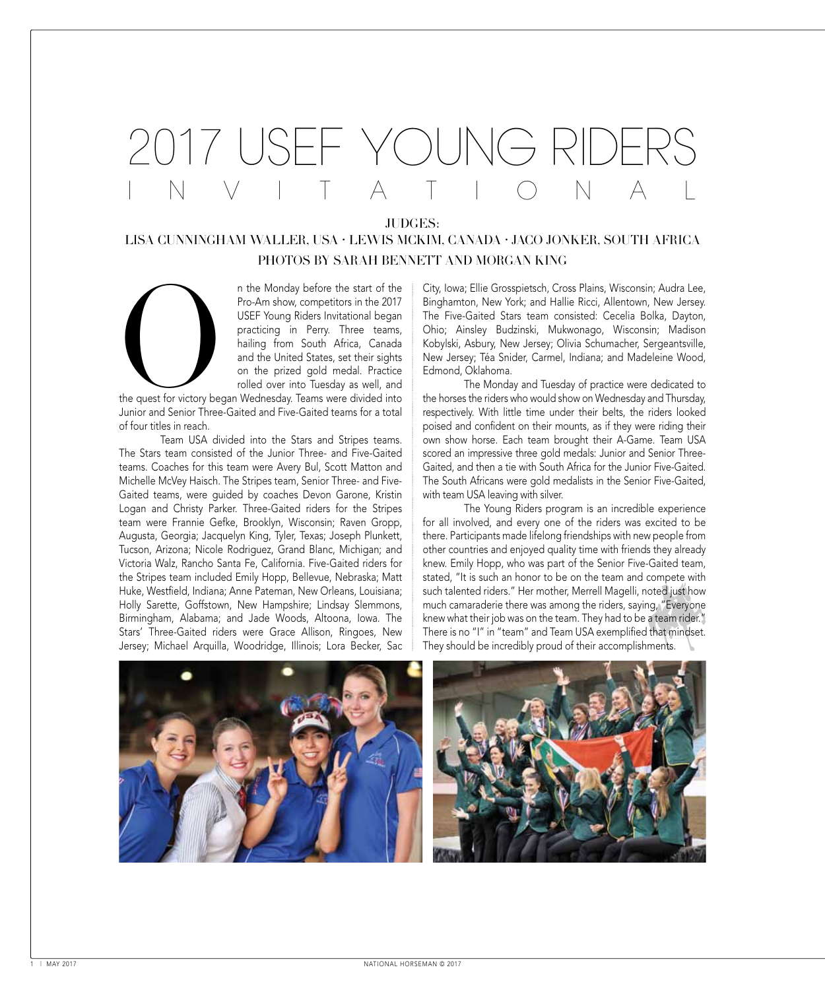## - Y( )| | I NVIIIAII ONAL

JUDGES:

## Lisa Cunningham Waller, USA • Lewis McKim, Canada • Jaco Jonker, South Africa photos by sarah bennett and morgan king

n the Monday before the start of the Pro-Am show, competitors in the 2017 USEF Young Riders Invitational began practicing in Perry. Three teams, hailing from South Africa, Canada and the United States, set their sights on the prized gold medal. Practice rolled over into Tuesday as well, and

the quest for victory began Wednesday. Teams were divided into Junior and Senior Three-Gaited and Five-Gaited teams for a total of four titles in reach. n the M<br>
Pro-An<br>
USEF<br>
practic<br>
hailing<br>
and th<br>
on the<br>
rolled<br>
the quest for victory began Wedn<br>
Junior and Senior Three-Gaited an

Team USA divided into the Stars and Stripes teams. The Stars team consisted of the Junior Three- and Five-Gaited teams. Coaches for this team were Avery Bul, Scott Matton and Michelle McVey Haisch. The Stripes team, Senior Three- and Five-Gaited teams, were guided by coaches Devon Garone, Kristin Logan and Christy Parker. Three-Gaited riders for the Stripes team were Frannie Gefke, Brooklyn, Wisconsin; Raven Gropp, Augusta, Georgia; Jacquelyn King, Tyler, Texas; Joseph Plunkett, Tucson, Arizona; Nicole Rodriguez, Grand Blanc, Michigan; and Victoria Walz, Rancho Santa Fe, California. Five-Gaited riders for the Stripes team included Emily Hopp, Bellevue, Nebraska; Matt Huke, Westfield, Indiana; Anne Pateman, New Orleans, Louisiana; Holly Sarette, Goffstown, New Hampshire; Lindsay Slemmons, Birmingham, Alabama; and Jade Woods, Altoona, Iowa. The Stars' Three-Gaited riders were Grace Allison, Ringoes, New Jersey; Michael Arquilla, Woodridge, Illinois; Lora Becker, Sac

City, Iowa; Ellie Grosspietsch, Cross Plains, Wisconsin; Audra Lee, Binghamton, New York; and Hallie Ricci, Allentown, New Jersey. The Five-Gaited Stars team consisted: Cecelia Bolka, Dayton, Ohio; Ainsley Budzinski, Mukwonago, Wisconsin; Madison Kobylski, Asbury, New Jersey; Olivia Schumacher, Sergeantsville, New Jersey; Téa Snider, Carmel, Indiana; and Madeleine Wood, Edmond, Oklahoma.

The Monday and Tuesday of practice were dedicated to the horses the riders who would show on Wednesday and Thursday, respectively. With little time under their belts, the riders looked poised and confident on their mounts, as if they were riding their own show horse. Each team brought their A-Game. Team USA scored an impressive three gold medals: Junior and Senior Three-Gaited, and then a tie with South Africa for the Junior Five-Gaited. The South Africans were gold medalists in the Senior Five-Gaited, with team USA leaving with silver.

The Young Riders program is an incredible experience for all involved, and every one of the riders was excited to be there. Participants made lifelong friendships with new people from other countries and enjoyed quality time with friends they already knew. Emily Hopp, who was part of the Senior Five-Gaited team, stated, "It is such an honor to be on the team and compete with such talented riders." Her mother, Merrell Magelli, noted just how much camaraderie there was among the riders, saying, "Everyone knew what their job was on the team. They had to be a team rider." There is no "I" in "team" and Team USA exemplified that mindset. They should be incredibly proud of their accomplishments.